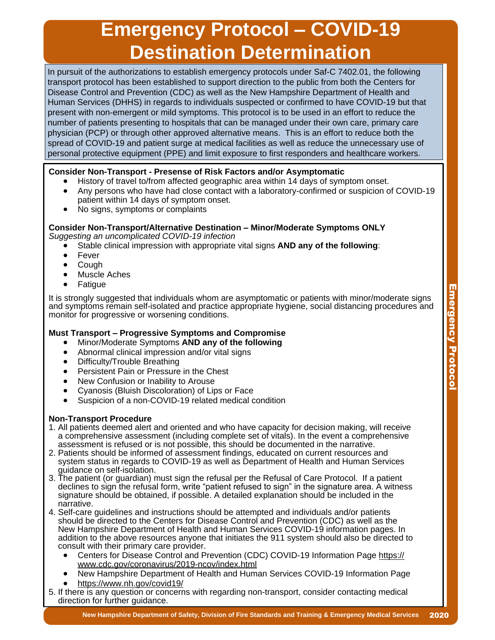## **Emergency Protocol – COVID-19 Destination Determination**

In pursuit of the authorizations to establish emergency protocols under Saf-C 7402.01, the following transport protocol has been established to support direction to the public from both the Centers for Disease Control and Prevention (CDC) as well as the New Hampshire Department of Health and Human Services (DHHS) in regards to individuals suspected or confirmed to have COVID-19 but that present with non-emergent or mild symptoms. This protocol is to be used in an effort to reduce the number of patients presenting to hospitals that can be managed under their own care, primary care physician (PCP) or through other approved alternative means. This is an effort to reduce both the spread of COVID-19 and patient surge at medical facilities as well as reduce the unnecessary use of personal protective equipment (PPE) and limit exposure to first responders and healthcare workers.

- 
- Consider Non-Transport Presense of Risk Factors and/or Asymptomatic<br>■ History of travel to/from affected geographic area within 14 days of symptom onset.<br>■ Any persons who have had close contact with a laboratory-confir patient within 14 days of symptom onset.<br>No signs, symptoms or complaints
	-

## **Consider Non-Transport/Alternative Destination – Minor/Moderate Symptoms ONLY**

- Stable clinical impression with appropriate vital signs AND any of the following:<br>Fever<br>Cough<br>Muscle Aches
- 
- 
- 
- 

It is strongly suggested that individuals whom are asymptomatic or patients with minor/moderate signs and symptoms remain self-isolated and practice appropriate hygiene, social distancing procedures and monitor for progressive or worsening conditions.

- -
	-
	-
	-
	-
- Must Transport Progressive Symptoms and Compromise<br>
Minor/Moderate Symptoms AND any of the following<br>
Abnormal clinical impression and/or vital signs<br>
Difficulty/Trouble Breathing<br>
Persistent Pain or Pressure in

### **Non-Transport Procedure**

- 1. All patients deemed alert and oriented and who have capacity for decision making, will receive a comprehensive assessment (including complete set of vitals). In the event a comprehensive assessment is refused or is not possible, this should be documented in the narrative.
- 2. Patients should be informed of assessment findings, educated on current resources and system status in regards to COVID-19 as well as Department of Health and Human Services guidance on self-isolation.
- 3. The patient (or guardian) must sign the refusal per the Refusal of Care Protocol. If a patient declines to sign the refusal form, write "patient refused to sign" in the signature area. A witness signature should be obtained, if possible. A detailed explanation should be included in the narrative.
- 4. Self-care guidelines and instructions should be attempted and individuals and/or patients should be directed to the Centers for Disease Control and Prevention (CDC) as well as the New Hampshire Department of Health and Human Services COVID-19 information pages. In addition to the above resources anyone that initiates the 911 system should also be directed to
	- Centers for Disease Control and Prevention (CDC) COVID-19 Information Page https://<br>www.cdc.gov/coronavirus/2019-ncov/index.html
	- New Hampshire Department of Health and Human Services COVID-19 Information Page https://www.nh.gov/covid19/
	-
- 5. If there is any question or concerns with regarding non-transport, consider contacting medical direction for further guidance.